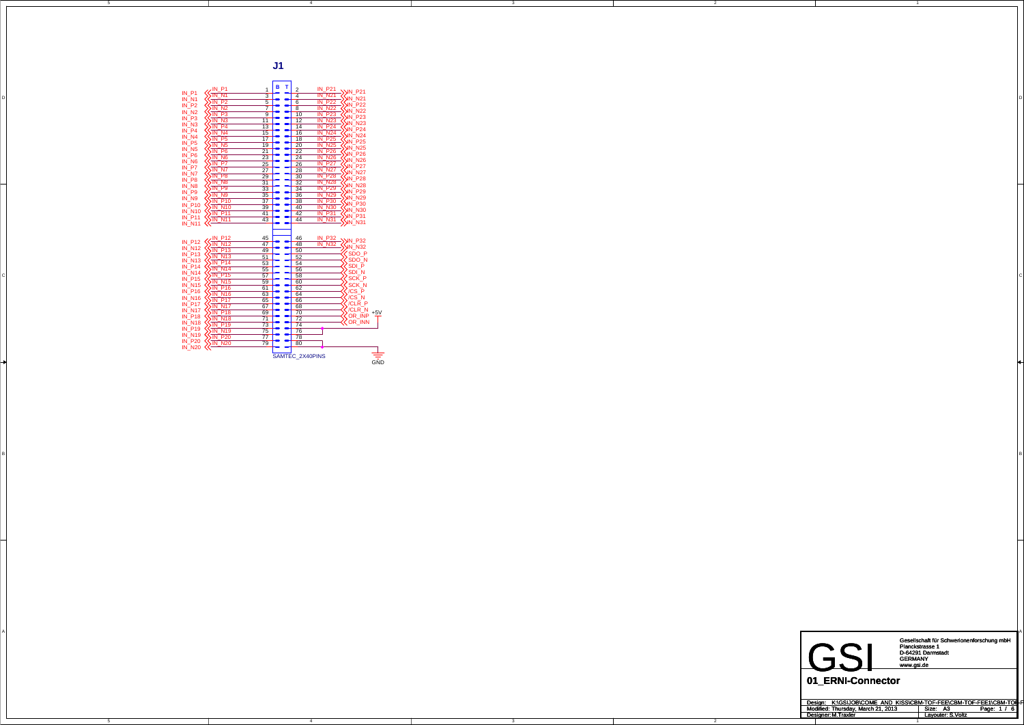4

4

3

3

2

2

C

A

A

B<br>B

5





Gesellschaft für Schwerionenforschung mbH Planckstrasse 1 D-64291 Darmstadt GERMANY www.gsi.de

| Design: K:\GSIJOB\COME AND KISS\CBM-TOF-FEE\CBM-TOF-FEE1\CBM-TOF-F |                         |
|--------------------------------------------------------------------|-------------------------|
| Modified: Thursday, March 21, 2013                                 | Page: 1 / 6<br>Size: A3 |
| Designer: M.Traxler                                                | Lavouter: S.Voltz       |
|                                                                    |                         |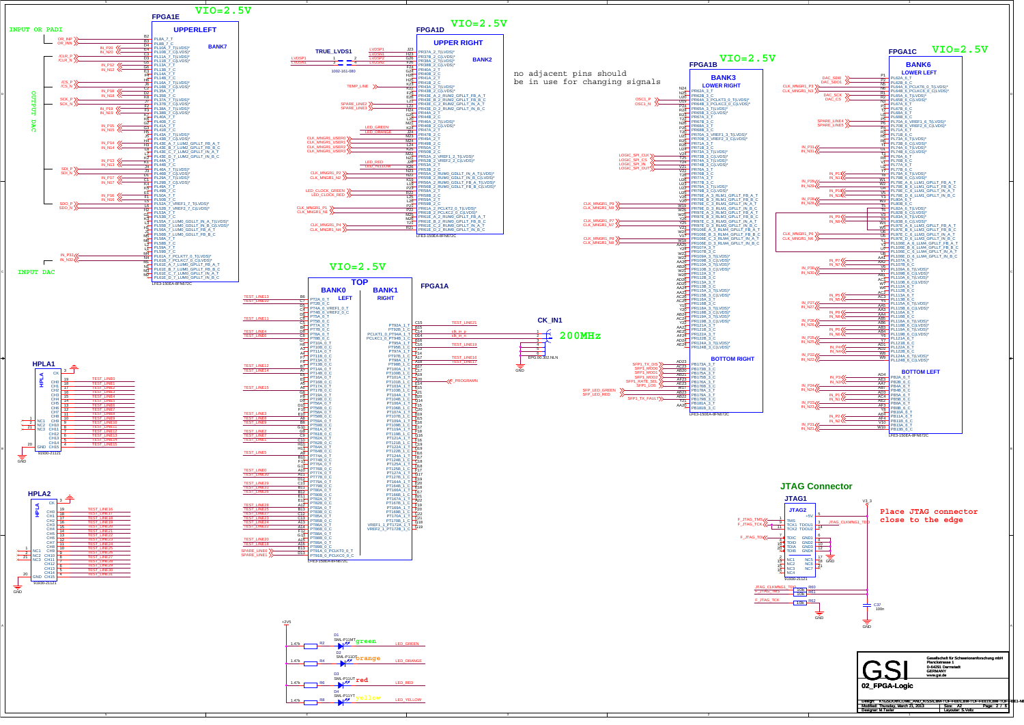3

C

D4<br>SML-P11YT<sub>V</sub>ellow LED\_YELLOW

Design: Modified: Size: / Page: Designer: Layouter: A2 2 6 M.Taxler S.Voltz Thursday, March 21, 2013 K:\GSIJOB\COME\_AND\_KISS\CBM-TOF-FEE\CBM-TOF-FEE1\CBM-TOF-FEE1-NE



1.47kk <del>roman</del> R8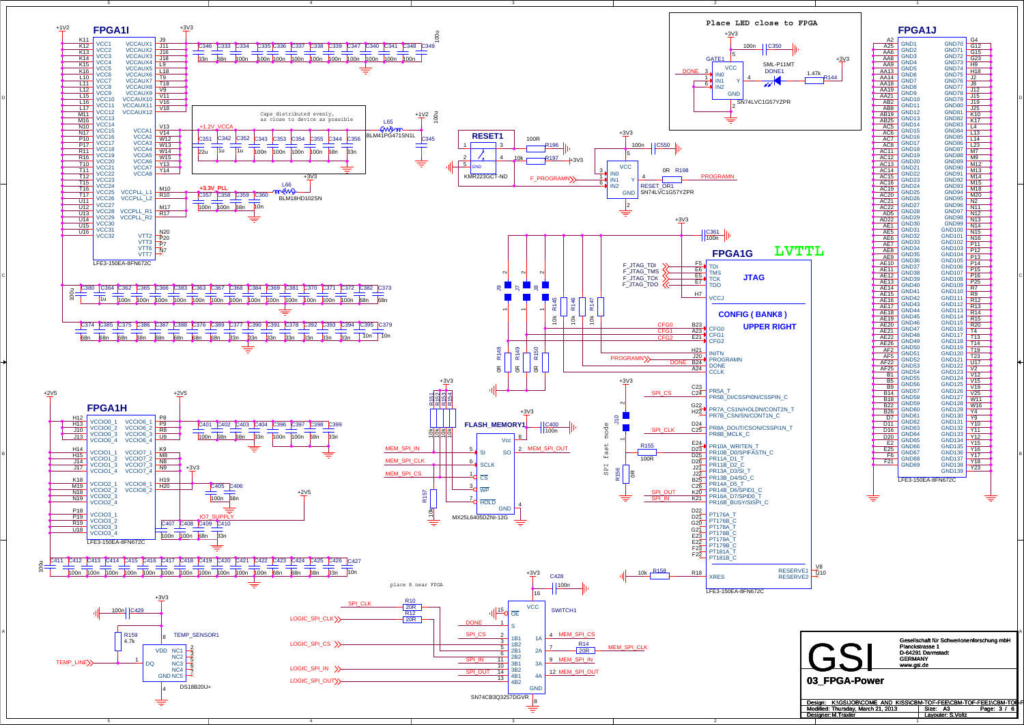4

3

2

C

A



| Design: K:\GSIJOB\COME AND KISS\CBM-TOF-FEE\CBM-TOF-FEE1\CBM-TOF-F |                           |
|--------------------------------------------------------------------|---------------------------|
| Modified: Thursday, March 21, 2013                                 | Page: 3 / 6  <br>Size: A3 |
| Designer: M. Traxler                                               | Lavouter: S.Voltz         |
|                                                                    |                           |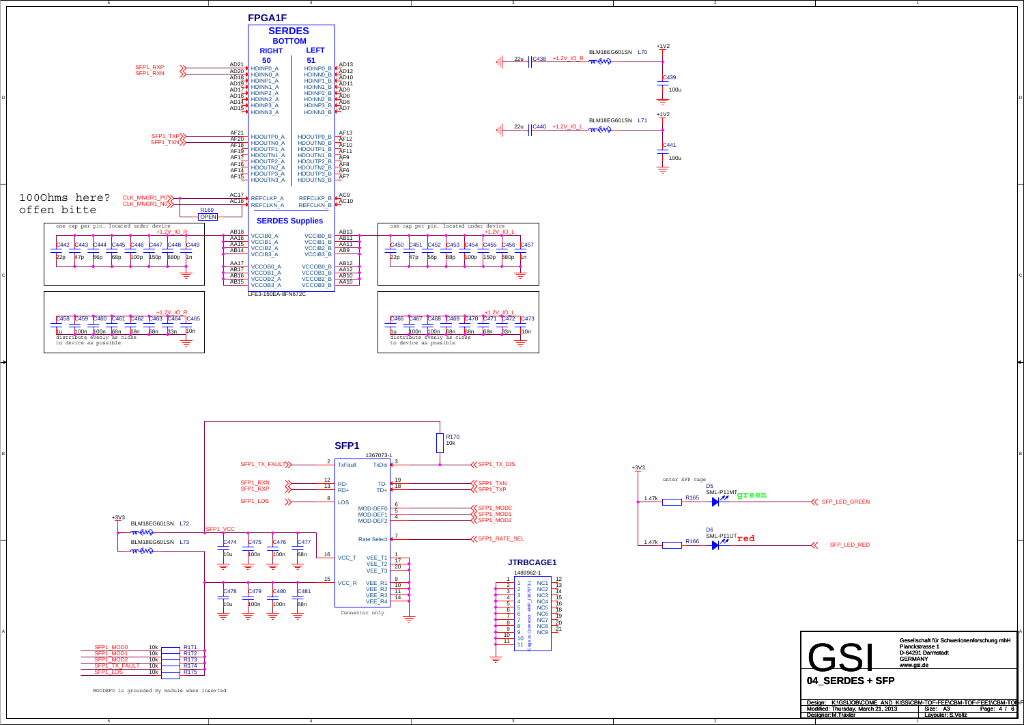4

3

2

2

A



MODDEF0 is grounded by module when inserted

+1V2

+1V2

SFP\_LED\_RED

**K** SFP\_LED\_GREEN

GSI Gesellschaft für Schwerionenforschung mbH Planckstrasse 1 D-64291 Darmstadt GERMANY www.gsi.de

| Design: K:\GSIJOB\COME AND KISS\CBM-TOF-FEE\CBM-TOF-FEE1\CBM-TOF-F |                   |             |
|--------------------------------------------------------------------|-------------------|-------------|
| Modified: Thursday. March 21, 2013                                 | Size: A3          | Page: $4/6$ |
| Designer, M. Traxler                                               | Lavouter: S.Voltz |             |
|                                                                    |                   |             |

**04\_SERDES + SFP**

C439 100u





C441 100u

≐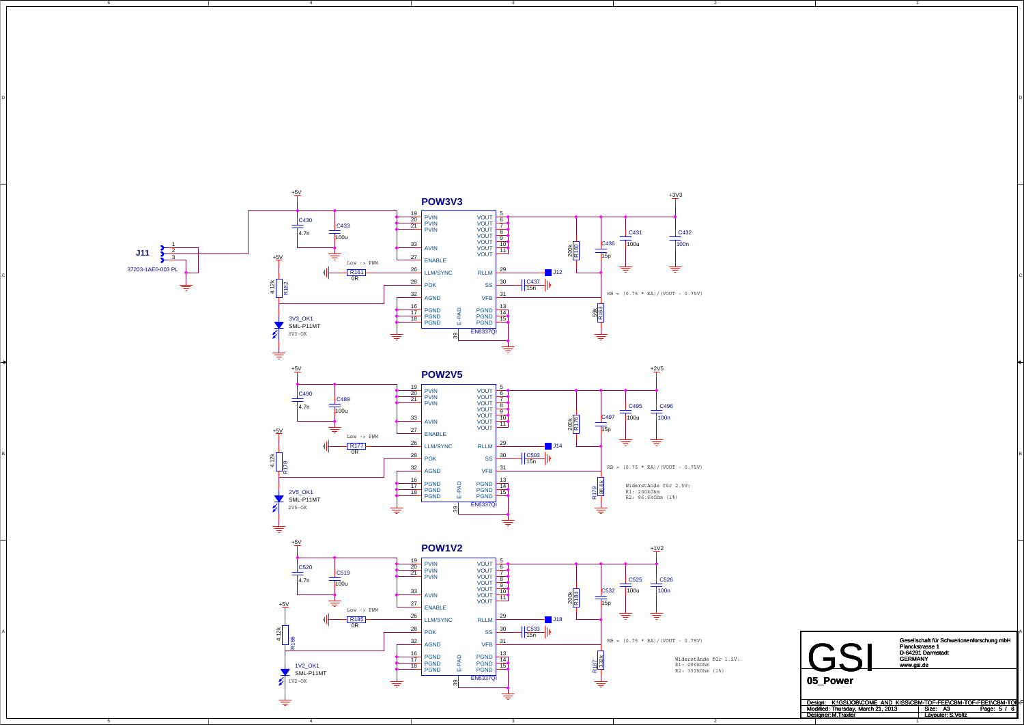5

3

D<br>D

2

C

A





Gesellschaft für Schwerionenforschung mbH Planckstrasse 1 D-64291 Darmstadt GERMANY www.gsi.de

| Design: K:\GSIJOB\COME AND KISS\CBM-TOF-FEE\CBM-TOF-FEE1\CBM-TOF-F |                        |
|--------------------------------------------------------------------|------------------------|
| Modified: Thursday, March 21, 2013                                 | Page: 5 / 6<br>Size A3 |
| Designer: M. Traxler                                               | Lavouter: S.Voltz      |
|                                                                    |                        |